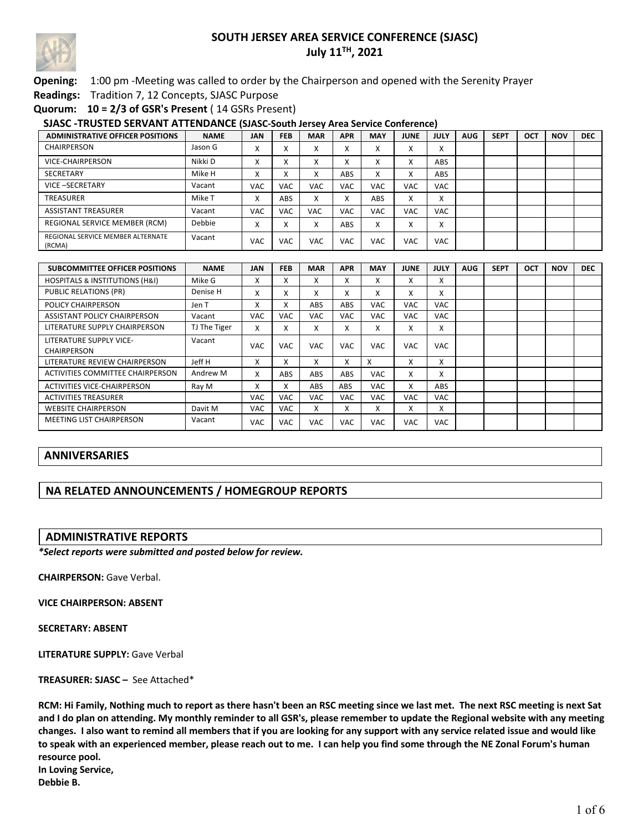

## **Opening:** 1:00 pm -Meeting was called to order by the Chairperson and opened with the Serenity Prayer

**Readings:** Tradition 7, 12 Concepts, SJASC Purpose

**Quorum: 10 = 2/3 of GSR's Present** ( 14 GSRs Present)

#### **SJASC -TRUSTED SERVANT ATTENDANCE (SJASC-South Jersey Area Service Conference)**

| <b>ADMINISTRATIVE OFFICER POSITIONS</b>     | <b>NAME</b> | <b>JAN</b>             | <b>FEB</b> | <b>MAR</b> | <b>APR</b> | <b>MAY</b>             | <b>JUNE</b> | <b>JULY</b> | <b>AUG</b> | <b>SEPT</b> | OCT | <b>NOV</b> | <b>DEC</b> |
|---------------------------------------------|-------------|------------------------|------------|------------|------------|------------------------|-------------|-------------|------------|-------------|-----|------------|------------|
| CHAIRPERSON                                 | Jason G     | $\checkmark$<br>∧      |            |            | $\lambda$  | ∧                      | л           | ⋏           |            |             |     |            |            |
| VICE-CHAIRPERSON                            | Nikki D     | $\checkmark$<br>∧      |            |            | $\lambda$  | $\sim$                 | л           | <b>ABS</b>  |            |             |     |            |            |
| <b>SECRETARY</b>                            | Mike H      | $\checkmark$<br>$\sim$ | $\sim$     |            | ABS        | $\checkmark$<br>$\sim$ | x           | <b>ABS</b>  |            |             |     |            |            |
| VICE-SECRETARY                              | Vacant      | <b>VAC</b>             | <b>VAC</b> | <b>VAC</b> | <b>VAC</b> | <b>VAC</b>             | VAC         | <b>VAC</b>  |            |             |     |            |            |
| TREASURER                                   | Mike T      | v<br>́                 | <b>ABS</b> |            |            | <b>ABS</b>             | x           | A           |            |             |     |            |            |
| <b>ASSISTANT TREASURER</b>                  | Vacant      | <b>VAC</b>             | <b>VAC</b> | <b>VAC</b> | <b>VAC</b> | <b>VAC</b>             | <b>VAC</b>  | <b>VAC</b>  |            |             |     |            |            |
| REGIONAL SERVICE MEMBER (RCM)               | Debbie      | $\checkmark$<br>∧      |            |            | <b>ABS</b> | x                      | л           | x           |            |             |     |            |            |
| REGIONAL SERVICE MEMBER ALTERNATE<br>(RCMA) | Vacant      | <b>VAC</b>             | <b>VAC</b> | VAC        | <b>VAC</b> | VAC                    | VAC         | <b>VAC</b>  |            |             |     |            |            |

| <b>SUBCOMMITTEE OFFICER POSITIONS</b>         | <b>NAME</b>  | <b>JAN</b> | <b>FEB</b> | <b>MAR</b> | <b>APR</b>     | <b>MAY</b> | <b>JUNE</b>       | <b>JULY</b> | <b>AUG</b> | <b>SEPT</b> | OCT | <b>NOV</b> | <b>DEC</b> |
|-----------------------------------------------|--------------|------------|------------|------------|----------------|------------|-------------------|-------------|------------|-------------|-----|------------|------------|
| <b>HOSPITALS &amp; INSTITUTIONS (H&amp;I)</b> | Mike G       | x          | x          | x          | v<br>Λ.        | x          | $\checkmark$<br>л | X           |            |             |     |            |            |
| PUBLIC RELATIONS (PR)                         | Denise H     | x          | x          | x          | x              | x          | x                 | x           |            |             |     |            |            |
| <b>POLICY CHAIRPERSON</b>                     | Jen T        | x          | x          | <b>ABS</b> | <b>ABS</b>     | VAC.       | <b>VAC</b>        | <b>VAC</b>  |            |             |     |            |            |
| ASSISTANT POLICY CHAIRPERSON                  | Vacant       | <b>VAC</b> | VAC.       | VAC        | <b>VAC</b>     | <b>VAC</b> | <b>VAC</b>        | <b>VAC</b>  |            |             |     |            |            |
| LITERATURE SUPPLY CHAIRPERSON                 | TJ The Tiger | x          | x          | x          | $\lambda$      | x          | X                 | X           |            |             |     |            |            |
| LITERATURE SUPPLY VICE-<br><b>CHAIRPERSON</b> | Vacant       | <b>VAC</b> | <b>VAC</b> | <b>VAC</b> | <b>VAC</b>     | <b>VAC</b> | <b>VAC</b>        | <b>VAC</b>  |            |             |     |            |            |
| LITERATURE REVIEW CHAIRPERSON                 | Jeff H       | x          | x          | x          | x              | x          | X                 | X           |            |             |     |            |            |
| ACTIVITIES COMMITTEE CHAIRPERSON              | Andrew M     | x          | <b>ABS</b> | <b>ABS</b> | ABS            | <b>VAC</b> | X                 | X           |            |             |     |            |            |
| <b>ACTIVITIES VICE-CHAIRPERSON</b>            | Ray M        | x          | x          | <b>ABS</b> | <b>ABS</b>     | <b>VAC</b> | X                 | <b>ABS</b>  |            |             |     |            |            |
| <b>ACTIVITIES TREASURER</b>                   |              | <b>VAC</b> | <b>VAC</b> | <b>VAC</b> | <b>VAC</b>     | VAC.       | VAC.              | <b>VAC</b>  |            |             |     |            |            |
| <b>WEBSITE CHAIRPERSON</b>                    | Davit M      | <b>VAC</b> | VAC.       | X          | v<br>$\lambda$ | x          | x                 | x           |            |             |     |            |            |
| <b>MEETING LIST CHAIRPERSON</b>               | Vacant       | <b>VAC</b> | <b>VAC</b> | <b>VAC</b> | <b>VAC</b>     | <b>VAC</b> | VAC               | <b>VAC</b>  |            |             |     |            |            |

# **ANNIVERSARIES**

# **NA RELATED ANNOUNCEMENTS / HOMEGROUP REPORTS**

#### **ADMINISTRATIVE REPORTS**

*\*Select reports were submitted and posted below for review.*

**CHAIRPERSON:** Gave Verbal.

**VICE CHAIRPERSON: ABSENT**

**SECRETARY: ABSENT**

**LITERATURE SUPPLY:** Gave Verbal

**TREASURER: SJASC –** See Attached\*

**RCM: Hi Family, Nothing much to report as there hasn't been an RSC meeting since we last met. The next RSC meeting is next Sat and I do plan on attending. My monthly reminder to all GSR's, please remember to update the Regional website with any meeting changes. I also want to remind all members that if you are looking for any support with any service related issue and would like to speak with an experienced member, please reach out to me. I can help you find some through the NE Zonal Forum's human resource pool. In Loving Service, Debbie B.**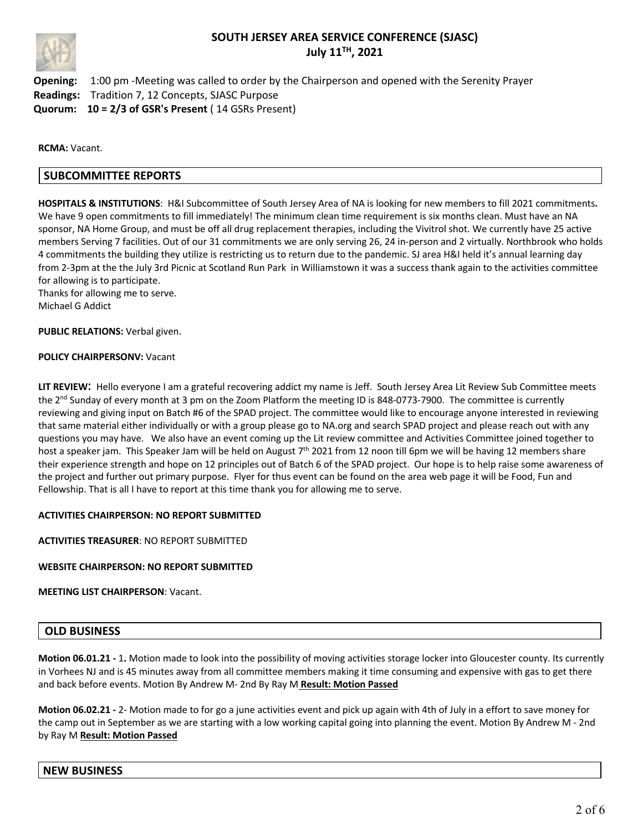

**Opening:** 1:00 pm -Meeting was called to order by the Chairperson and opened with the Serenity Prayer **Readings:** Tradition 7, 12 Concepts, SJASC Purpose **Quorum: 10 = 2/3 of GSR's Present** ( 14 GSRs Present)

**RCMA:** Vacant.

## **SUBCOMMITTEE REPORTS**

**HOSPITALS & INSTITUTIONS**: H&I Subcommittee of South Jersey Area of NA is looking for new members to fill 2021 commitments**.** We have 9 open commitments to fill immediately! The minimum clean time requirement is six months clean. Must have an NA sponsor, NA Home Group, and must be off all drug replacement therapies, including the Vivitrol shot. We currently have 25 active members Serving 7 facilities. Out of our 31 commitments we are only serving 26, 24 in-person and 2 virtually. Northbrook who holds 4 commitments the building they utilize is restricting us to return due to the pandemic. SJ area H&I held it's annual learning day from 2-3pm at the the July 3rd Picnic at Scotland Run Park in Williamstown it was a success thank again to the activities committee for allowing is to participate.

Thanks for allowing me to serve. Michael G Addict

**PUBLIC RELATIONS:** Verbal given.

#### **POLICY CHAIRPERSONV:** Vacant

**LIT REVIEW**: Hello everyone I am a grateful recovering addict my name is Jeff. South Jersey Area Lit Review Sub Committee meets the 2<sup>nd</sup> Sunday of every month at 3 pm on the Zoom Platform the meeting ID is 848-0773-7900. The committee is currently reviewing and giving input on Batch #6 of the SPAD project. The committee would like to encourage anyone interested in reviewing that same material either individually or with a group please go to NA.org and search SPAD project and please reach out with any questions you may have. We also have an event coming up the Lit review committee and Activities Committee joined together to host a speaker jam. This Speaker Jam will be held on August 7<sup>th</sup> 2021 from 12 noon till 6pm we will be having 12 members share their experience strength and hope on 12 principles out of Batch 6 of the SPAD project. Our hope is to help raise some awareness of the project and further out primary purpose. Flyer for thus event can be found on the area web page it will be Food, Fun and Fellowship. That is all I have to report at this time thank you for allowing me to serve.

#### **ACTIVITIES CHAIRPERSON: NO REPORT SUBMITTED**

**ACTIVITIES TREASURER**: NO REPORT SUBMITTED

#### **WEBSITE CHAIRPERSON: NO REPORT SUBMITTED**

**MEETING LIST CHAIRPERSON**: Vacant.

## **OLD BUSINESS**

**Motion 06.01.21 -** 1**.** Motion made to look into the possibility of moving activities storage locker into Gloucester county. Its currently in Vorhees NJ and is 45 minutes away from all committee members making it time consuming and expensive with gas to get there and back before events. Motion By Andrew M- 2nd By Ray M **Result: Motion Passed**

**Motion 06.02.21 -** 2- Motion made to for go a june activities event and pick up again with 4th of July in a effort to save money for the camp out in September as we are starting with a low working capital going into planning the event. Motion By Andrew M - 2nd by Ray M **Result: Motion Passed**

## **NEW BUSINESS**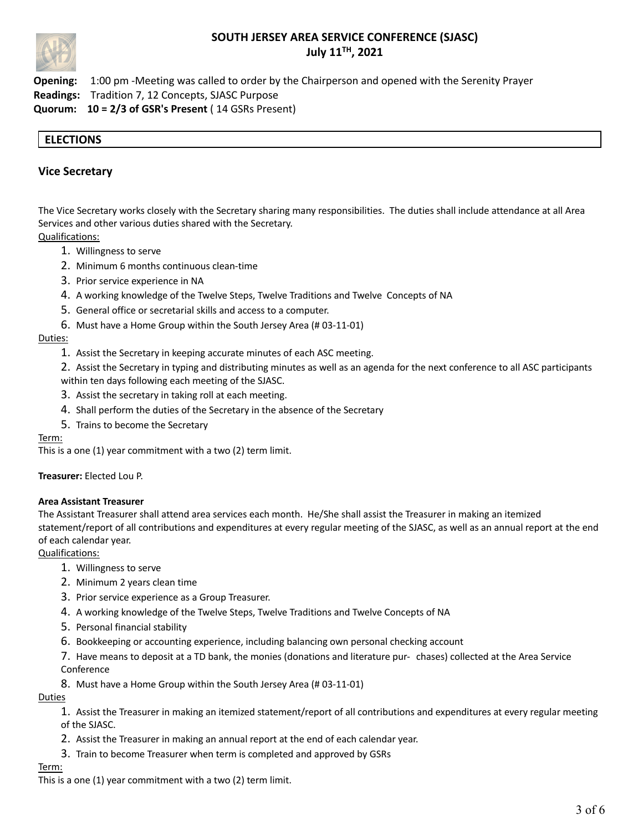

**Opening:** 1:00 pm -Meeting was called to order by the Chairperson and opened with the Serenity Prayer **Readings:** Tradition 7, 12 Concepts, SJASC Purpose **Quorum: 10 = 2/3 of GSR's Present** ( 14 GSRs Present)

# **ELECTIONS**

## **Vice Secretary**

The Vice Secretary works closely with the Secretary sharing many responsibilities. The duties shall include attendance at all Area Services and other various duties shared with the Secretary.

Qualifications:

- 1. Willingness to serve
- 2. Minimum 6 months continuous clean-time
- 3. Prior service experience in NA
- 4. A working knowledge of the Twelve Steps, Twelve Traditions and Twelve Concepts of NA
- 5. General office or secretarial skills and access to a computer.
- 6. Must have a Home Group within the South Jersey Area (# 03-11-01)

#### Duties:

- 1. Assist the Secretary in keeping accurate minutes of each ASC meeting.
- 2. Assist the Secretary in typing and distributing minutes as well as an agenda for the next conference to all ASC participants within ten days following each meeting of the SJASC.
- 3. Assist the secretary in taking roll at each meeting.
- 4. Shall perform the duties of the Secretary in the absence of the Secretary
- 5. Trains to become the Secretary

#### Term:

This is a one (1) year commitment with a two (2) term limit.

#### **Treasurer:** Elected Lou P.

#### **Area Assistant Treasurer**

The Assistant Treasurer shall attend area services each month. He/She shall assist the Treasurer in making an itemized statement/report of all contributions and expenditures at every regular meeting of the SJASC, as well as an annual report at the end of each calendar year.

Qualifications:

- 1. Willingness to serve
- 2. Minimum 2 years clean time
- 3. Prior service experience as a Group Treasurer.
- 4. A working knowledge of the Twelve Steps, Twelve Traditions and Twelve Concepts of NA
- 5. Personal financial stability
- 6. Bookkeeping or accounting experience, including balancing own personal checking account

7. Have means to deposit at a TD bank, the monies (donations and literature pur- chases) collected at the Area Service Conference

8. Must have a Home Group within the South Jersey Area (# 03-11-01)

#### Duties

1. Assist the Treasurer in making an itemized statement/report of all contributions and expenditures at every regular meeting of the SJASC.

- 2. Assist the Treasurer in making an annual report at the end of each calendar year.
- 3. Train to become Treasurer when term is completed and approved by GSRs

#### Term:

This is a one (1) year commitment with a two (2) term limit.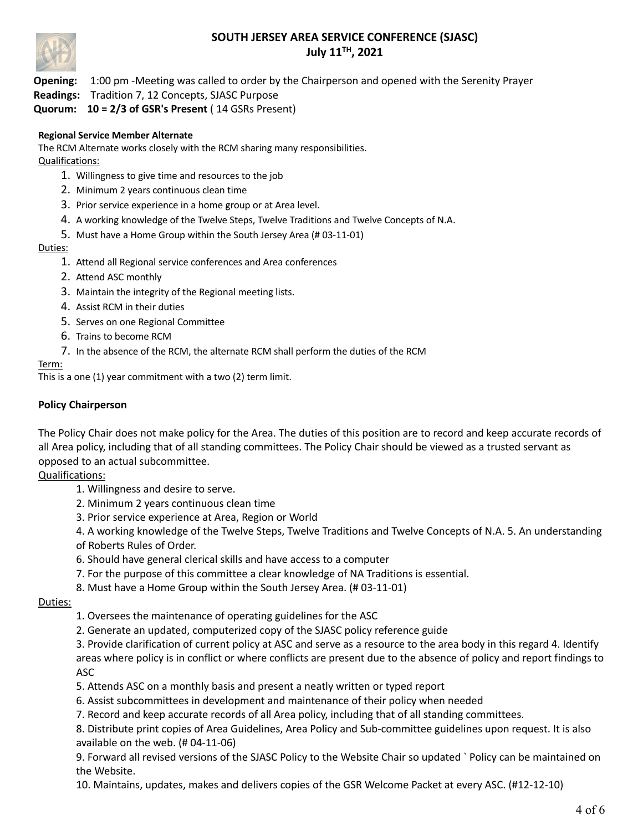

**Opening:** 1:00 pm -Meeting was called to order by the Chairperson and opened with the Serenity Prayer

# **Readings:** Tradition 7, 12 Concepts, SJASC Purpose

**Quorum: 10 = 2/3 of GSR's Present** ( 14 GSRs Present)

# **Regional Service Member Alternate**

The RCM Alternate works closely with the RCM sharing many responsibilities. Qualifications:

- 1. Willingness to give time and resources to the job
- 2. Minimum 2 years continuous clean time
- 3. Prior service experience in a home group or at Area level.
- 4. A working knowledge of the Twelve Steps, Twelve Traditions and Twelve Concepts of N.A.
- 5. Must have a Home Group within the South Jersey Area (# 03-11-01)

## Duties:

- 1. Attend all Regional service conferences and Area conferences
- 2. Attend ASC monthly
- 3. Maintain the integrity of the Regional meeting lists.
- 4. Assist RCM in their duties
- 5. Serves on one Regional Committee
- 6. Trains to become RCM
- 7. In the absence of the RCM, the alternate RCM shall perform the duties of the RCM

# Term:

This is a one (1) year commitment with a two (2) term limit.

# **Policy Chairperson**

The Policy Chair does not make policy for the Area. The duties of this position are to record and keep accurate records of all Area policy, including that of all standing committees. The Policy Chair should be viewed as a trusted servant as opposed to an actual subcommittee.

# Qualifications:

- 1. Willingness and desire to serve.
- 2. Minimum 2 years continuous clean time
- 3. Prior service experience at Area, Region or World

4. A working knowledge of the Twelve Steps, Twelve Traditions and Twelve Concepts of N.A. 5. An understanding of Roberts Rules of Order.

- 6. Should have general clerical skills and have access to a computer
- 7. For the purpose of this committee a clear knowledge of NA Traditions is essential.
- 8. Must have a Home Group within the South Jersey Area. (# 03-11-01)

## Duties:

- 1. Oversees the maintenance of operating guidelines for the ASC
- 2. Generate an updated, computerized copy of the SJASC policy reference guide

3. Provide clarification of current policy at ASC and serve as a resource to the area body in this regard 4. Identify areas where policy is in conflict or where conflicts are present due to the absence of policy and report findings to ASC

- 5. Attends ASC on a monthly basis and present a neatly written or typed report
- 6. Assist subcommittees in development and maintenance of their policy when needed
- 7. Record and keep accurate records of all Area policy, including that of all standing committees.

8. Distribute print copies of Area Guidelines, Area Policy and Sub-committee guidelines upon request. It is also available on the web. (# 04-11-06)

9. Forward all revised versions of the SJASC Policy to the Website Chair so updated ` Policy can be maintained on the Website.

10. Maintains, updates, makes and delivers copies of the GSR Welcome Packet at every ASC. (#12-12-10)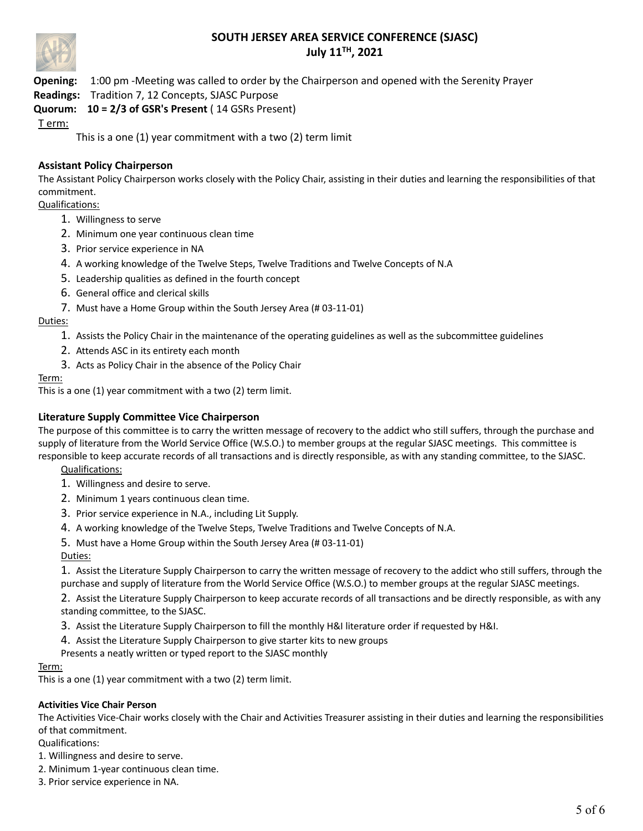

**Opening:** 1:00 pm -Meeting was called to order by the Chairperson and opened with the Serenity Prayer

**Readings:** Tradition 7, 12 Concepts, SJASC Purpose

# **Quorum: 10 = 2/3 of GSR's Present** ( 14 GSRs Present)

T erm:

This is a one (1) year commitment with a two (2) term limit

# **Assistant Policy Chairperson**

The Assistant Policy Chairperson works closely with the Policy Chair, assisting in their duties and learning the responsibilities of that commitment.

## Qualifications:

- 1. Willingness to serve
- 2. Minimum one year continuous clean time
- 3. Prior service experience in NA
- 4. A working knowledge of the Twelve Steps, Twelve Traditions and Twelve Concepts of N.A
- 5. Leadership qualities as defined in the fourth concept
- 6. General office and clerical skills
- 7. Must have a Home Group within the South Jersey Area (# 03-11-01)

## Duties:

- 1. Assists the Policy Chair in the maintenance of the operating guidelines as well as the subcommittee guidelines
- 2. Attends ASC in its entirety each month
- 3. Acts as Policy Chair in the absence of the Policy Chair

## Term:

This is a one (1) year commitment with a two (2) term limit.

# **Literature Supply Committee Vice Chairperson**

The purpose of this committee is to carry the written message of recovery to the addict who still suffers, through the purchase and supply of literature from the World Service Office (W.S.O.) to member groups at the regular SJASC meetings. This committee is responsible to keep accurate records of all transactions and is directly responsible, as with any standing committee, to the SJASC.

Qualifications:

- 1. Willingness and desire to serve.
- 2. Minimum 1 years continuous clean time.
- 3. Prior service experience in N.A., including Lit Supply.
- 4. A working knowledge of the Twelve Steps, Twelve Traditions and Twelve Concepts of N.A.
- 5. Must have a Home Group within the South Jersey Area (# 03-11-01)

Duties:

1. Assist the Literature Supply Chairperson to carry the written message of recovery to the addict who still suffers, through the purchase and supply of literature from the World Service Office (W.S.O.) to member groups at the regular SJASC meetings.

2. Assist the Literature Supply Chairperson to keep accurate records of all transactions and be directly responsible, as with any standing committee, to the SJASC.

- 3. Assist the Literature Supply Chairperson to fill the monthly H&I literature order if requested by H&I.
- 4. Assist the Literature Supply Chairperson to give starter kits to new groups
- Presents a neatly written or typed report to the SJASC monthly

## Term:

This is a one (1) year commitment with a two (2) term limit.

## **Activities Vice Chair Person**

The Activities Vice-Chair works closely with the Chair and Activities Treasurer assisting in their duties and learning the responsibilities of that commitment.

Qualifications:

1. Willingness and desire to serve.

- 2. Minimum 1-year continuous clean time.
- 3. Prior service experience in NA.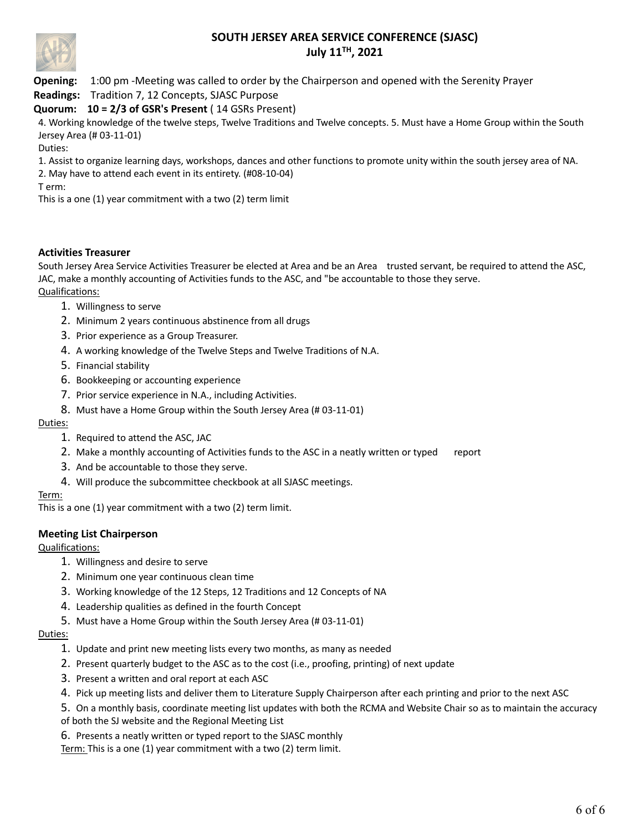

**Opening:** 1:00 pm -Meeting was called to order by the Chairperson and opened with the Serenity Prayer

**Readings:** Tradition 7, 12 Concepts, SJASC Purpose

# **Quorum: 10 = 2/3 of GSR's Present** ( 14 GSRs Present)

4. Working knowledge of the twelve steps, Twelve Traditions and Twelve concepts. 5. Must have a Home Group within the South Jersey Area (# 03-11-01)

Duties:

1. Assist to organize learning days, workshops, dances and other functions to promote unity within the south jersey area of NA.

2. May have to attend each event in its entirety. (#08-10-04)

T erm:

This is a one (1) year commitment with a two (2) term limit

# **Activities Treasurer**

South Jersey Area Service Activities Treasurer be elected at Area and be an Area trusted servant, be required to attend the ASC, JAC, make a monthly accounting of Activities funds to the ASC, and "be accountable to those they serve. Qualifications:

- 1. Willingness to serve
- 2. Minimum 2 years continuous abstinence from all drugs
- 3. Prior experience as a Group Treasurer.
- 4. A working knowledge of the Twelve Steps and Twelve Traditions of N.A.
- 5. Financial stability
- 6. Bookkeeping or accounting experience
- 7. Prior service experience in N.A., including Activities.
- 8. Must have a Home Group within the South Jersey Area (# 03-11-01)

## Duties:

- 1. Required to attend the ASC, JAC
- 2. Make a monthly accounting of Activities funds to the ASC in a neatly written or typed report
- 3. And be accountable to those they serve.
- 4. Will produce the subcommittee checkbook at all SJASC meetings.

## Term:

This is a one (1) year commitment with a two (2) term limit.

# **Meeting List Chairperson**

Qualifications:

- 1. Willingness and desire to serve
- 2. Minimum one year continuous clean time
- 3. Working knowledge of the 12 Steps, 12 Traditions and 12 Concepts of NA
- 4. Leadership qualities as defined in the fourth Concept
- 5. Must have a Home Group within the South Jersey Area (# 03-11-01)

## Duties:

- 1. Update and print new meeting lists every two months, as many as needed
- 2. Present quarterly budget to the ASC as to the cost (i.e., proofing, printing) of next update
- 3. Present a written and oral report at each ASC
- 4. Pick up meeting lists and deliver them to Literature Supply Chairperson after each printing and prior to the next ASC

5. On a monthly basis, coordinate meeting list updates with both the RCMA and Website Chair so as to maintain the accuracy of both the SJ website and the Regional Meeting List

6. Presents a neatly written or typed report to the SJASC monthly

Term: This is a one (1) year commitment with a two (2) term limit.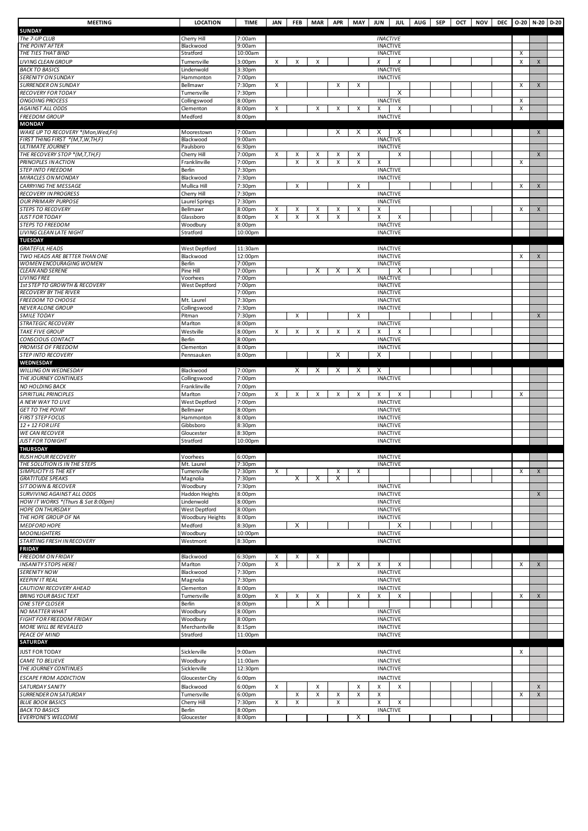| <b>MEETING</b>                                           | <b>LOCATION</b>           | <b>TIME</b>         | JAN    | <b>FEB</b> | <b>MAR</b> |        | APR MAY JUN    |                                    | <b>JUL</b>           | <b>AUG</b><br>SEP | OCT NOV | DEC 0-20 N-20 |                | $D-20$ |
|----------------------------------------------------------|---------------------------|---------------------|--------|------------|------------|--------|----------------|------------------------------------|----------------------|-------------------|---------|---------------|----------------|--------|
| <b>SUNDAY</b>                                            |                           |                     |        |            |            |        |                |                                    |                      |                   |         |               |                |        |
| The 7-UP CLUB<br>THE POINT AFTER                         | Cherry Hill               | 7:00am              |        |            |            |        |                | <b>INACTIVE</b>                    |                      |                   |         |               |                |        |
| THE TIES THAT BIND                                       | Blackwood<br>Stratford    | 9:00am<br>10:00am   |        |            |            |        |                | <b>INACTIVE</b>                    | <b>INACTIVE</b>      |                   |         | х             |                |        |
| LIVING CLEAN GROUP                                       | Turnersville              | 3:00 <sub>pm</sub>  | X      | X          | X          |        |                | X                                  | Х                    |                   |         | X             | X              |        |
| <b>BACK TO BASICS</b>                                    | Lindenwold                | 3:30pm              |        |            |            |        |                | <b>INACTIVE</b>                    |                      |                   |         |               |                |        |
| SERENITY ON SUNDAY                                       | Hammonton                 | 7:00pm              |        |            |            |        |                | <b>INACTIVE</b>                    |                      |                   |         |               |                |        |
| SURRENDER ON SUNDAY                                      | Bellmawr                  | 7:30pm              | Χ      |            |            | х      | х              |                                    |                      |                   |         | X             | X              |        |
| RECOVERY FOR TODAY                                       | Turnersville              | 7:30pm              |        |            |            |        |                |                                    | Х                    |                   |         |               |                |        |
| <b>ONGOING PROCESS</b><br>AGAINST ALL ODDS               | Collingswood<br>Clementon | 8:00pm<br>8:00pm    | Χ      |            | Χ          | х      | X              | X                                  | <b>INACTIVE</b><br>X |                   |         | Χ<br>X        |                |        |
| <b>FREEDOM GROUP</b>                                     | Medford                   | 8:00pm              |        |            |            |        |                | <b>INACTIVE</b>                    |                      |                   |         |               |                |        |
| <b>MONDAY</b>                                            |                           |                     |        |            |            |        |                |                                    |                      |                   |         |               |                |        |
| WAKE UP TO RECOVERY *(Mon, Wed, Fri)                     | Moorestown                | 7:00am              |        |            |            | X      | Х              | X                                  | X                    |                   |         |               | $\pmb{\times}$ |        |
| FIRST THING FIRST *(M,T,W,TH,F)                          | Blackwood                 | 9:00am              |        |            |            |        |                |                                    | <b>INACTIVE</b>      |                   |         |               |                |        |
| <b>ULTIMATE JOURNEY</b><br>THE RECOVERY STOP *(M,T,TH,F) | Paulsboro<br>Cherry Hill  | 6:30pm<br>7:00pm    | х      | х          | x          | х      | Х              | <b>INACTIVE</b>                    | Χ                    |                   |         |               | $\pmb{\times}$ |        |
| PRINCIPLES IN ACTION                                     | Franklinville             | 7:00pm              |        | x          | x          | X      | Х              | Х                                  |                      |                   |         | X             |                |        |
| <b>STEP INTO FREEDOM</b>                                 | Berlin                    | 7:30pm              |        |            |            |        |                | <b>INACTIVE</b>                    |                      |                   |         |               |                |        |
| <b>MIRACLES ON MONDAY</b>                                | Blackwood                 | 7:30pm              |        |            |            |        |                | <b>INACTIVE</b>                    |                      |                   |         |               |                |        |
| CARRYING THE MESSAGE                                     | Mullica Hill              | 7:30pm              |        | X          |            |        | $\pmb{\times}$ |                                    |                      |                   |         | X             | $\pmb{\times}$ |        |
| RECOVERY IN PROGRESS                                     | Cherry Hill               | 7:30pm              |        |            |            |        |                | <b>INACTIVE</b>                    |                      |                   |         |               |                |        |
| OUR PRIMARY PURPOSE                                      | Laurel Springs            | 7:30pm              |        |            |            |        |                |                                    | <b>INACTIVE</b>      |                   |         |               |                |        |
| <b>STEPS TO RECOVERY</b><br>JUST FOR TODAY               | Bellmawr<br>Glassboro     | 8:00pm<br>8:00pm    | X<br>X | X<br>Χ     | Χ<br>X     | Х<br>X | X              | X<br>X                             | Х                    |                   |         | x             | $\pmb{\times}$ |        |
| <b>STEPS TO FREEDOM</b>                                  | Woodbury                  | 8:00pm              |        |            |            |        |                |                                    | <b>INACTIVE</b>      |                   |         |               |                |        |
| LIVING CLEAN LATE NIGHT                                  | Stratford                 | 10:00pm             |        |            |            |        |                | <b>INACTIVE</b>                    |                      |                   |         |               |                |        |
| <b>TUESDAY</b>                                           |                           |                     |        |            |            |        |                |                                    |                      |                   |         |               |                |        |
| <b>GRATEFUL HEADS</b>                                    | <b>West Deptford</b>      | 11:30am             |        |            |            |        |                | <b>INACTIVE</b>                    |                      |                   |         |               |                |        |
| TWO HEADS ARE BETTER THAN ONE                            | Blackwood                 | 12:00pm             |        |            |            |        |                | <b>INACTIVE</b>                    |                      |                   |         | X             | $\pmb{\times}$ |        |
| WOMEN ENCOURAGING WOMEN<br><b>CLEAN AND SERENE</b>       | Berlin<br>Pine Hill       | 7:00pm<br>7:00pm    |        |            | х          | х      | Х              | <b>INACTIVE</b>                    | X                    |                   |         |               |                |        |
| <b>LIVING FREE</b>                                       | Voorhees                  | 7:00pm              |        |            |            |        |                |                                    | <b>INACTIVE</b>      |                   |         |               |                |        |
| 1st STEP TO GROWTH & RECOVERY                            | West Deptford             | 7:00pm              |        |            |            |        |                | <b>INACTIVE</b>                    |                      |                   |         |               |                |        |
| <b>RECOVERY BY THE RIVER</b>                             |                           | 7:00pm              |        |            |            |        |                | <b>INACTIVE</b>                    |                      |                   |         |               |                |        |
| FREEDOM TO CHOOSE                                        | Mt. Laurel                | 7:30pm              |        |            |            |        |                | <b>INACTIVE</b>                    |                      |                   |         |               |                |        |
| NEVER ALONE GROUP<br>SMILE TODAY                         | Collingswood<br>Pitman    | 7:30pm              |        | X          |            |        | $\pmb{\times}$ |                                    | <b>INACTIVE</b>      |                   |         |               | $\pmb{\times}$ |        |
| STRATEGIC RECOVERY                                       | Marlton                   | 7:30pm<br>8:00pm    |        |            |            |        |                | <b>INACTIVE</b>                    |                      |                   |         |               |                |        |
| <b>TAKE FIVE GROUP</b>                                   | Westville                 | 8:00pm              | X      | x          | X          | x      | Χ              | X                                  | X                    |                   |         |               |                |        |
| CONSCIOUS CONTACT                                        | Berlin                    | 8:00pm              |        |            |            |        |                | <b>INACTIVE</b>                    |                      |                   |         |               |                |        |
| PROMISE OF FREEDOM                                       | Clementon                 | 8:00pm              |        |            |            |        |                | <b>INACTIVE</b>                    |                      |                   |         |               |                |        |
| <b>STEP INTO RECOVERY</b>                                | Pennsauken                | 8:00pm              |        |            |            | х      |                | Х                                  |                      |                   |         |               |                |        |
| WEDNESDAY                                                |                           |                     |        |            |            |        |                |                                    |                      |                   |         |               |                |        |
| WILLING ON WEDNESDAY<br>THE JOURNEY CONTINUES            | Blackwood<br>Collingswood | 7:00pm<br>7:00pm    |        | X          | Х          | X      | X              | X                                  | <b>INACTIVE</b>      |                   |         |               |                |        |
| NO HOLDING BACK                                          | Franklinville             | 7:00pm              |        |            |            |        |                |                                    |                      |                   |         |               |                |        |
| SPIRITUAL PRINCIPLES                                     | Marlton                   | 7:00pm              | х      | х          | x          | х      | Х              | Х                                  | X                    |                   |         | х             |                |        |
| A NEW WAY TO LIVE                                        | West Deptford             | 7:00pm              |        |            |            |        |                |                                    | <b>INACTIVE</b>      |                   |         |               |                |        |
| <b>GET TO THE POINT</b>                                  | Bellmawr                  | 8:00pm              |        |            |            |        |                | <b>INACTIVE</b>                    |                      |                   |         |               |                |        |
| <b>FIRST STEP FOCUS</b>                                  | Hammonton                 | 8:00pm              |        |            |            |        |                | <b>INACTIVE</b>                    |                      |                   |         |               |                |        |
| 12 + 12 FOR LIFE<br><b>WE CAN RECOVER</b>                | Gibbsboro<br>Gloucester   | $8:30$ pm<br>8:30pm |        |            |            |        |                | <b>INACTIVE</b><br><b>INACTIVE</b> |                      |                   |         |               |                |        |
| <b>JUST FOR TONIGHT</b>                                  | Stratford                 | 10:00pm             |        |            |            |        |                | <b>INACTIVE</b>                    |                      |                   |         |               |                |        |
| <b>THURSDAY</b>                                          |                           |                     |        |            |            |        |                |                                    |                      |                   |         |               |                |        |
| <b>RUSH HOUR RECOVERY</b>                                | Voorhees                  | 6:00pm              |        |            |            |        |                | <b>INACTIVE</b>                    |                      |                   |         |               |                |        |
| THE SOLUTION IS IN THE STEPS                             | Mt. Laurel                | 7:30pm              |        |            |            |        |                | <b>INACTIVE</b>                    |                      |                   |         |               |                |        |
| SIMPLICITY IS THE KEY<br><b>GRATITUDE SPEAKS</b>         | Turnersville<br>Magnolia  | 7:30pm<br>7:30pm    | x      | Χ          | Х          | х<br>X | x              |                                    |                      |                   |         | х             | X              |        |
| SIT DOWN & RECOVER                                       | Woodbury                  | 7:30pm              |        |            |            |        |                | <b>INACTIVE</b>                    |                      |                   |         |               |                |        |
| SURVIVING AGAINST ALL ODDS                               | Haddon Heights            | 8:00pm              |        |            |            |        |                | <b>INACTIVE</b>                    |                      |                   |         |               | X              |        |
| HOW IT WORKS *(Thurs & Sat 8:00pm)                       | Lindenwold                | 8:00pm              |        |            |            |        |                | <b>INACTIVE</b>                    |                      |                   |         |               |                |        |
| <b>HOPE ON THURSDAY</b>                                  | West Deptford             | 8:00pm              |        |            |            |        |                | <b>INACTIVE</b>                    |                      |                   |         |               |                |        |
| THE HOPE GROUP OF NA                                     | Woodbury Heights          | 8:00pm              |        |            |            |        |                | <b>INACTIVE</b>                    |                      |                   |         |               |                |        |
| <b>MEDFORD HOPE</b>                                      | Medford                   | 8:30pm              |        | Х          |            |        |                | <b>INACTIVE</b>                    | Х                    |                   |         |               |                |        |
| MOONLIGHTERS<br>STARTING FRESH IN RECOVERY               | Woodbury<br>Westmont      | 10:00pm<br>8:30pm   |        |            |            |        |                |                                    | <b>INACTIVE</b>      |                   |         |               |                |        |
| <b>FRIDAY</b>                                            |                           |                     |        |            |            |        |                |                                    |                      |                   |         |               |                |        |
| FREEDOM ON FRIDAY                                        | Blackwood                 | 6:30pm              | х      | х          | Х          |        |                |                                    |                      |                   |         |               |                |        |
| <b>INSANITY STOPS HERE!</b>                              | Marlton                   | 7:00pm              | X      |            |            | х      | Χ              | х                                  | X                    |                   |         | X             | $\pmb{\times}$ |        |
| <b>SERENITY NOW</b>                                      | Blackwood                 | 7:30pm              |        |            |            |        |                | <b>INACTIVE</b>                    |                      |                   |         |               |                |        |
| KEEPIN' IT REAL                                          | Magnolia                  | 7:30pm              |        |            |            |        |                | <b>INACTIVE</b>                    |                      |                   |         |               |                |        |
| CAUTION! RECOVERY AHEAD<br><b>BRING YOUR BASIC TEXT</b>  | Clementon<br>Turnersville | 8:00pm<br>8:00pm    | X      |            |            |        | х              | <b>INACTIVE</b><br>X               |                      |                   |         | X             | X              |        |
| <b>ONE STEP CLOSER</b>                                   | Berlin                    | 8:00pm              |        | х          | Х<br>X     |        |                |                                    | Х                    |                   |         |               |                |        |
| NO MATTER WHAT                                           | Woodbury                  | 8:00pm              |        |            |            |        |                | <b>INACTIVE</b>                    |                      |                   |         |               |                |        |
| FIGHT FOR FREEDOM FRIDAY                                 | Woodbury                  | 8:00pm              |        |            |            |        |                | <b>INACTIVE</b>                    |                      |                   |         |               |                |        |
| MORE WILL BE REVEALED                                    | Merchantville             | 8:15pm              |        |            |            |        |                | <b>INACTIVE</b>                    |                      |                   |         |               |                |        |
| PEACE OF MIND                                            | Stratford                 | 11:00pm             |        |            |            |        |                | <b>INACTIVE</b>                    |                      |                   |         |               |                |        |
| <b>SATURDAY</b>                                          |                           |                     |        |            |            |        |                |                                    |                      |                   |         |               |                |        |
| JUST FOR TODAY                                           | Sicklerville              | 9:00am              |        |            |            |        |                | <b>INACTIVE</b>                    |                      |                   |         | X             |                |        |
| CAME TO BELIEVE                                          | Woodbury                  | 11:00am             |        |            |            |        |                | <b>INACTIVE</b>                    |                      |                   |         |               |                |        |
| THE JOURNEY CONTINUES                                    | Sicklerville              | 12:30pm             |        |            |            |        |                | <b>INACTIVE</b>                    |                      |                   |         |               |                |        |
| ESCAPE FROM ADDICTION                                    | Gloucester City           | 6:00 <sub>pm</sub>  |        |            |            |        |                | <b>INACTIVE</b>                    |                      |                   |         |               |                |        |
| SATURDAY SANITY                                          | Blackwood<br>Turnersville | 6:00 <sub>pm</sub>  | X      |            | x          |        | Χ<br>Χ         | X<br>$\pmb{\times}$                | X                    |                   |         | X             | X<br>X         |        |
| <b>SURRENDER ON SATURDAY</b><br><b>BLUE BOOK BASICS</b>  | Cherry Hill               | 6:00pm<br>7:30pm    | x      | X<br>x     | Χ          | X<br>X |                | X                                  | X                    |                   |         |               |                |        |
| <b>BACK TO BASICS</b>                                    | Berlin                    | 8:00pm              |        |            |            |        |                |                                    | <b>INACTIVE</b>      |                   |         |               |                |        |
| <b>EVERYONE'S WELCOME</b>                                | Gloucester                | 8:00pm              |        |            |            |        | Х              |                                    |                      |                   |         |               |                |        |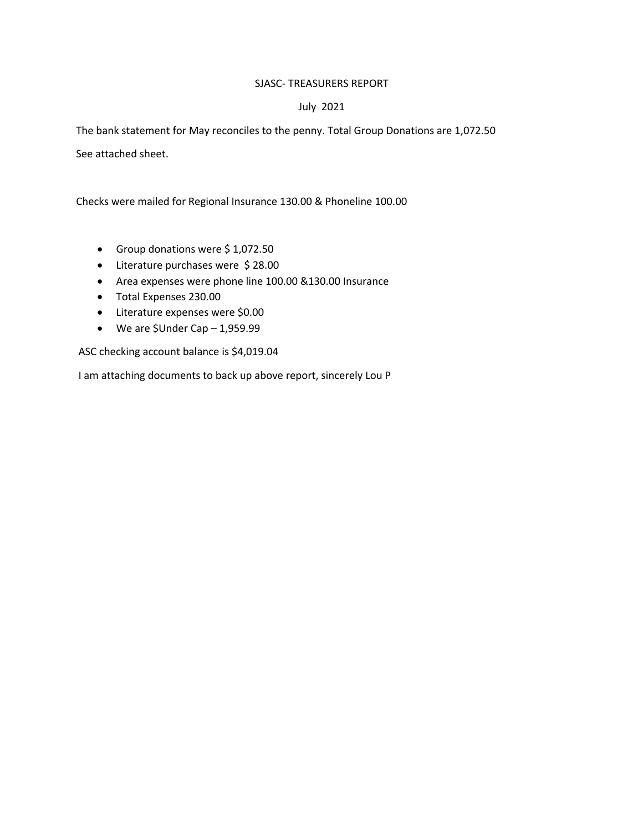## SJASC- TREASURERS REPORT

## July 2021

The bank statement for May reconciles to the penny. Total Group Donations are 1,072.50

See attached sheet.

Checks were mailed for Regional Insurance 130.00 & Phoneline 100.00

- Group donations were \$ 1,072.50
- Literature purchases were \$ 28.00
- Area expenses were phone line 100.00 &130.00 Insurance
- Total Expenses 230.00
- Literature expenses were \$0.00
- We are \$Under Cap 1,959.99

ASC checking account balance is \$4,019.04

I am attaching documents to back up above report, sincerely Lou P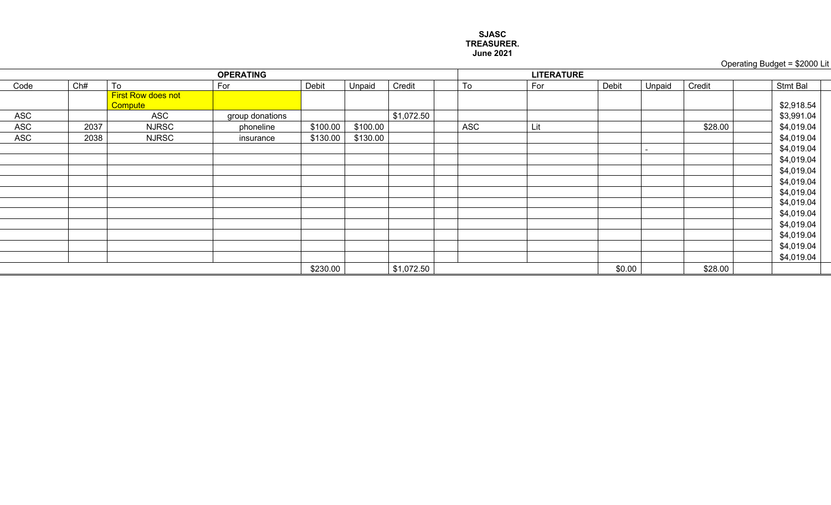#### **SJASC TREASURER. June 2021**

# Operating Budget =  $$2000$  Lit

|            |      |                           | <b>OPERATING</b> |          |          |            |     | <b>LITERATURE</b> |        |        |         |                 |
|------------|------|---------------------------|------------------|----------|----------|------------|-----|-------------------|--------|--------|---------|-----------------|
| Code       | Ch#  | To                        | For              | Debit    | Unpaid   | Credit     | To  | For               | Debit  | Unpaid | Credit  | <b>Stmt Bal</b> |
|            |      | <b>First Row does not</b> |                  |          |          |            |     |                   |        |        |         |                 |
|            |      | Compute                   |                  |          |          |            |     |                   |        |        |         | \$2,918.54      |
| <b>ASC</b> |      | ASC                       | group donations  |          |          | \$1,072.50 |     |                   |        |        |         | \$3,991.04      |
| <b>ASC</b> | 2037 | <b>NJRSC</b>              | phoneline        | \$100.00 | \$100.00 |            | ASC | Lit               |        |        | \$28.00 | \$4,019.04      |
| <b>ASC</b> | 2038 | <b>NJRSC</b>              | insurance        | \$130.00 | \$130.00 |            |     |                   |        |        |         | \$4,019.04      |
|            |      |                           |                  |          |          |            |     |                   |        |        |         | \$4,019.04      |
|            |      |                           |                  |          |          |            |     |                   |        |        |         | \$4,019.04      |
|            |      |                           |                  |          |          |            |     |                   |        |        |         | \$4,019.04      |
|            |      |                           |                  |          |          |            |     |                   |        |        |         | \$4,019.04      |
|            |      |                           |                  |          |          |            |     |                   |        |        |         | \$4,019.04      |
|            |      |                           |                  |          |          |            |     |                   |        |        |         | \$4,019.04      |
|            |      |                           |                  |          |          |            |     |                   |        |        |         | \$4,019.04      |
|            |      |                           |                  |          |          |            |     |                   |        |        |         | \$4,019.04      |
|            |      |                           |                  |          |          |            |     |                   |        |        |         | \$4,019.04      |
|            |      |                           |                  |          |          |            |     |                   |        |        |         | \$4,019.04      |
|            |      |                           |                  |          |          |            |     |                   |        |        |         | \$4,019.04      |
|            |      |                           |                  | \$230.00 |          | \$1,072.50 |     |                   | \$0.00 |        | \$28.00 |                 |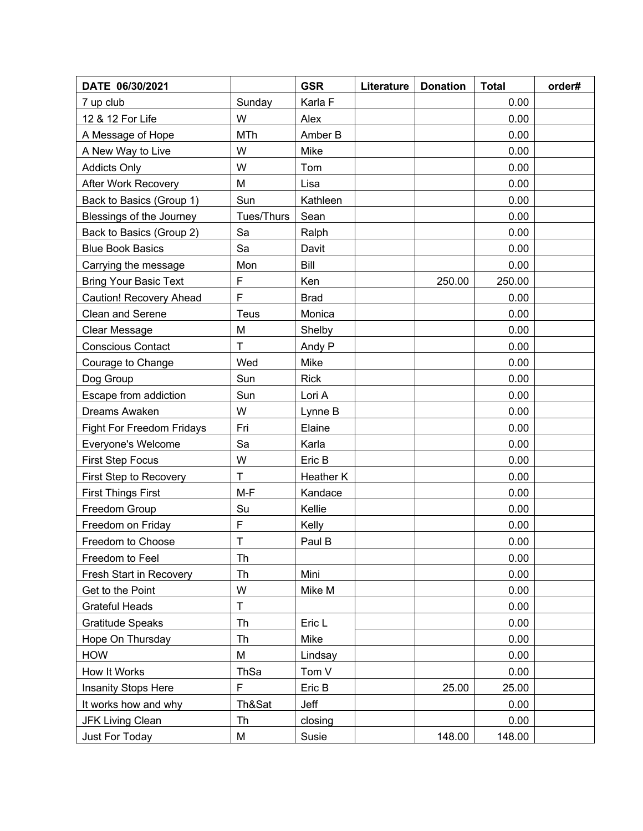| DATE 06/30/2021              |              | <b>GSR</b>  | Literature | <b>Donation</b> | <b>Total</b> | order# |
|------------------------------|--------------|-------------|------------|-----------------|--------------|--------|
| 7 up club                    | Sunday       | Karla F     |            |                 | 0.00         |        |
| 12 & 12 For Life             | W            | Alex        |            |                 | 0.00         |        |
| A Message of Hope            | <b>MTh</b>   | Amber B     |            |                 | 0.00         |        |
| A New Way to Live            | W            | Mike        |            |                 | 0.00         |        |
| <b>Addicts Only</b>          | W            | Tom         |            |                 | 0.00         |        |
| <b>After Work Recovery</b>   | M            | Lisa        |            |                 | 0.00         |        |
| Back to Basics (Group 1)     | Sun          | Kathleen    |            |                 | 0.00         |        |
| Blessings of the Journey     | Tues/Thurs   | Sean        |            |                 | 0.00         |        |
| Back to Basics (Group 2)     | Sa           | Ralph       |            |                 | 0.00         |        |
| <b>Blue Book Basics</b>      | Sa           | Davit       |            |                 | 0.00         |        |
| Carrying the message         | Mon          | Bill        |            |                 | 0.00         |        |
| <b>Bring Your Basic Text</b> | F            | Ken         |            | 250.00          | 250.00       |        |
| Caution! Recovery Ahead      | F            | <b>Brad</b> |            |                 | 0.00         |        |
| <b>Clean and Serene</b>      | <b>Teus</b>  | Monica      |            |                 | 0.00         |        |
| Clear Message                | M            | Shelby      |            |                 | 0.00         |        |
| <b>Conscious Contact</b>     | T            | Andy P      |            |                 | 0.00         |        |
| Courage to Change            | Wed          | Mike        |            |                 | 0.00         |        |
| Dog Group                    | Sun          | <b>Rick</b> |            |                 | 0.00         |        |
| Escape from addiction        | Sun          | Lori A      |            |                 | 0.00         |        |
| Dreams Awaken                | W            | Lynne B     |            |                 | 0.00         |        |
| Fight For Freedom Fridays    | Fri          | Elaine      |            |                 | 0.00         |        |
| Everyone's Welcome           | Sa           | Karla       |            |                 | 0.00         |        |
| <b>First Step Focus</b>      | W            | Eric B      |            |                 | 0.00         |        |
| First Step to Recovery       | $\mathsf{T}$ | Heather K   |            |                 | 0.00         |        |
| <b>First Things First</b>    | $M-F$        | Kandace     |            |                 | 0.00         |        |
| Freedom Group                | Su           | Kellie      |            |                 | 0.00         |        |
| Freedom on Friday            | F            | Kelly       |            |                 | 0.00         |        |
| Freedom to Choose            | $\mathsf T$  | Paul B      |            |                 | 0.00         |        |
| Freedom to Feel              | Th           |             |            |                 | 0.00         |        |
| Fresh Start in Recovery      | Th           | Mini        |            |                 | 0.00         |        |
| Get to the Point             | W            | Mike M      |            |                 | 0.00         |        |
| <b>Grateful Heads</b>        | T            |             |            |                 | 0.00         |        |
| <b>Gratitude Speaks</b>      | Th           | Eric L      |            |                 | 0.00         |        |
| Hope On Thursday             | Th           | Mike        |            |                 | 0.00         |        |
| <b>HOW</b>                   | M            | Lindsay     |            |                 | 0.00         |        |
| How It Works                 | ThSa         | Tom V       |            |                 | 0.00         |        |
| Insanity Stops Here          | F            | Eric B      |            | 25.00           | 25.00        |        |
| It works how and why         | Th&Sat       | Jeff        |            |                 | 0.00         |        |
| <b>JFK Living Clean</b>      | Th           | closing     |            |                 | 0.00         |        |
| Just For Today               | M            | Susie       |            | 148.00          | 148.00       |        |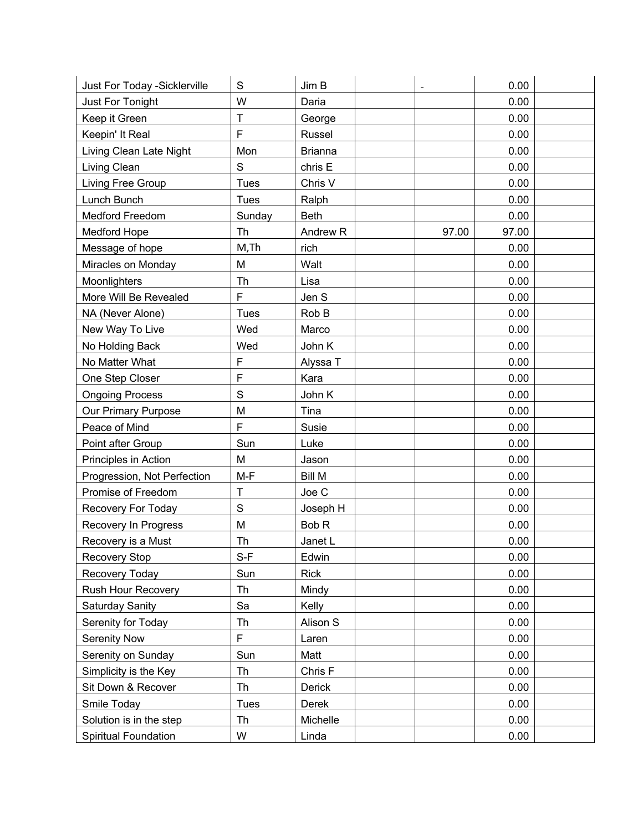| Just For Today - Sicklerville | S            | Jim B               |       | 0.00  |  |
|-------------------------------|--------------|---------------------|-------|-------|--|
| Just For Tonight              | W            | Daria               |       | 0.00  |  |
| Keep it Green                 | T            | George              |       | 0.00  |  |
| Keepin' It Real               | F            | Russel              |       | 0.00  |  |
| Living Clean Late Night       | Mon          | <b>Brianna</b>      |       | 0.00  |  |
| Living Clean                  | S            | chris E             |       | 0.00  |  |
| Living Free Group             | <b>Tues</b>  | Chris V             |       | 0.00  |  |
| Lunch Bunch                   | <b>Tues</b>  | Ralph               |       | 0.00  |  |
| <b>Medford Freedom</b>        | Sunday       | <b>Beth</b>         |       | 0.00  |  |
| <b>Medford Hope</b>           | <b>Th</b>    | Andrew <sub>R</sub> | 97.00 | 97.00 |  |
| Message of hope               | M, Th        | rich                |       | 0.00  |  |
| Miracles on Monday            | M            | Walt                |       | 0.00  |  |
| Moonlighters                  | Th           | Lisa                |       | 0.00  |  |
| More Will Be Revealed         | F            | Jen S               |       | 0.00  |  |
| NA (Never Alone)              | <b>Tues</b>  | Rob B               |       | 0.00  |  |
| New Way To Live               | Wed          | Marco               |       | 0.00  |  |
| No Holding Back               | Wed          | John K              |       | 0.00  |  |
| No Matter What                | F            | Alyssa T            |       | 0.00  |  |
| One Step Closer               | F            | Kara                |       | 0.00  |  |
| <b>Ongoing Process</b>        | S            | John K              |       | 0.00  |  |
| Our Primary Purpose           | M            | Tina                |       | 0.00  |  |
| Peace of Mind                 | F            | Susie               |       | 0.00  |  |
| Point after Group             | Sun          | Luke                |       | 0.00  |  |
| Principles in Action          | M            | Jason               |       | 0.00  |  |
| Progression, Not Perfection   | M-F          | <b>Bill M</b>       |       | 0.00  |  |
| Promise of Freedom            | $\mathsf T$  | Joe C               |       | 0.00  |  |
| Recovery For Today            | $\mathsf{S}$ | Joseph H            |       | 0.00  |  |
| Recovery In Progress          | M            | Bob <sub>R</sub>    |       | 0.00  |  |
| Recovery is a Must            | Th           | Janet L             |       | 0.00  |  |
| <b>Recovery Stop</b>          | $S-F$        | Edwin               |       | 0.00  |  |
| Recovery Today                | Sun          | <b>Rick</b>         |       | 0.00  |  |
| Rush Hour Recovery            | Th           | Mindy               |       | 0.00  |  |
| Saturday Sanity               | Sa           | Kelly               |       | 0.00  |  |
| Serenity for Today            | Th           | Alison S            |       | 0.00  |  |
| <b>Serenity Now</b>           | F            | Laren               |       | 0.00  |  |
| Serenity on Sunday            | Sun          | Matt                |       | 0.00  |  |
| Simplicity is the Key         | Th           | Chris F             |       | 0.00  |  |
| Sit Down & Recover            | Th           | Derick              |       | 0.00  |  |
| Smile Today                   | <b>Tues</b>  | Derek               |       | 0.00  |  |
| Solution is in the step       | Th           | Michelle            |       | 0.00  |  |
| <b>Spiritual Foundation</b>   | W            | Linda               |       | 0.00  |  |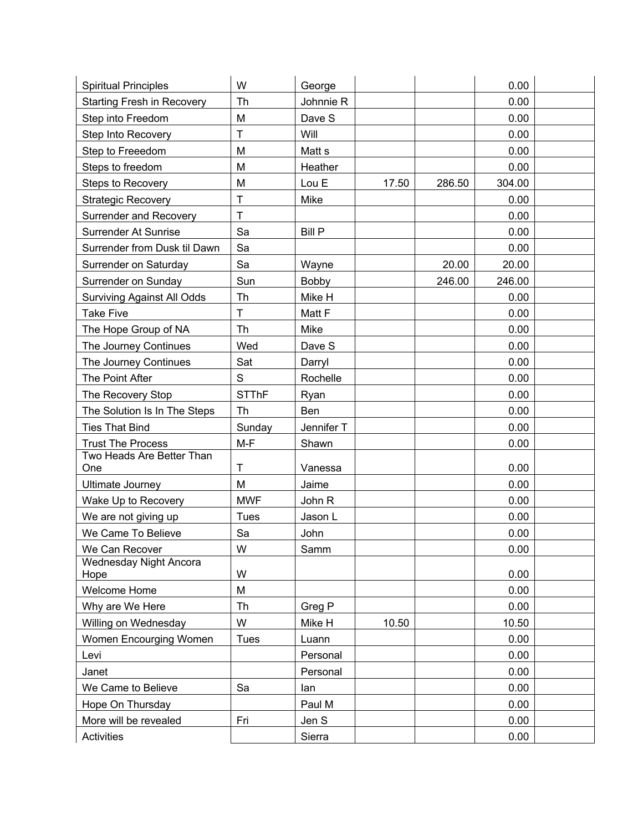| <b>Spiritual Principles</b>       | W            | George            |       |        | 0.00   |  |
|-----------------------------------|--------------|-------------------|-------|--------|--------|--|
| Starting Fresh in Recovery        | Th           | Johnnie R         |       |        | 0.00   |  |
| Step into Freedom                 | M            | Dave S            |       |        | 0.00   |  |
| Step Into Recovery                | $\mathsf{T}$ | Will              |       |        | 0.00   |  |
| Step to Freeedom                  | M            | Matt <sub>s</sub> |       |        | 0.00   |  |
| Steps to freedom                  | M            | Heather           |       |        | 0.00   |  |
| <b>Steps to Recovery</b>          | M            | Lou E             | 17.50 | 286.50 | 304.00 |  |
| <b>Strategic Recovery</b>         | $\mathsf{T}$ | Mike              |       |        | 0.00   |  |
| <b>Surrender and Recovery</b>     | $\mathsf{T}$ |                   |       |        | 0.00   |  |
| <b>Surrender At Sunrise</b>       | Sa           | <b>Bill P</b>     |       |        | 0.00   |  |
| Surrender from Dusk til Dawn      | Sa           |                   |       |        | 0.00   |  |
| Surrender on Saturday             | Sa           | Wayne             |       | 20.00  | 20.00  |  |
| Surrender on Sunday               | Sun          | Bobby             |       | 246.00 | 246.00 |  |
| <b>Surviving Against All Odds</b> | Th           | Mike H            |       |        | 0.00   |  |
| <b>Take Five</b>                  | $\mathsf{T}$ | Matt F            |       |        | 0.00   |  |
| The Hope Group of NA              | Th           | Mike              |       |        | 0.00   |  |
| The Journey Continues             | Wed          | Dave S            |       |        | 0.00   |  |
| The Journey Continues             | Sat          | Darryl            |       |        | 0.00   |  |
| The Point After                   | S            | Rochelle          |       |        | 0.00   |  |
| The Recovery Stop                 | <b>STThF</b> | Ryan              |       |        | 0.00   |  |
| The Solution Is In The Steps      | Th           | Ben               |       |        | 0.00   |  |
| <b>Ties That Bind</b>             | Sunday       | Jennifer T        |       |        | 0.00   |  |
| <b>Trust The Process</b>          | M-F          | Shawn             |       |        | 0.00   |  |
| Two Heads Are Better Than<br>One  | $\mathsf{T}$ | Vanessa           |       |        | 0.00   |  |
| Ultimate Journey                  | M            | Jaime             |       |        | 0.00   |  |
| Wake Up to Recovery               | <b>MWF</b>   | John R            |       |        | 0.00   |  |
| We are not giving up              | <b>Tues</b>  | Jason L           |       |        | 0.00   |  |
| We Came To Believe                | Sa           | John              |       |        | 0.00   |  |
| We Can Recover                    | W            | Samm              |       |        | 0.00   |  |
| Wednesday Night Ancora            |              |                   |       |        |        |  |
| Hope                              | W            |                   |       |        | 0.00   |  |
| <b>Welcome Home</b>               | M            |                   |       |        | 0.00   |  |
| Why are We Here                   | Th           | Greg P            |       |        | 0.00   |  |
| Willing on Wednesday              | W            | Mike H            | 10.50 |        | 10.50  |  |
| Women Encourging Women            | <b>Tues</b>  | Luann             |       |        | 0.00   |  |
| Levi                              |              | Personal          |       |        | 0.00   |  |
| Janet                             |              | Personal          |       |        | 0.00   |  |
| We Came to Believe                | Sa           | lan               |       |        | 0.00   |  |
| Hope On Thursday                  |              | Paul M            |       |        | 0.00   |  |
| More will be revealed             | Fri          | Jen S             |       |        | 0.00   |  |
| Activities                        |              | Sierra            |       |        | 0.00   |  |